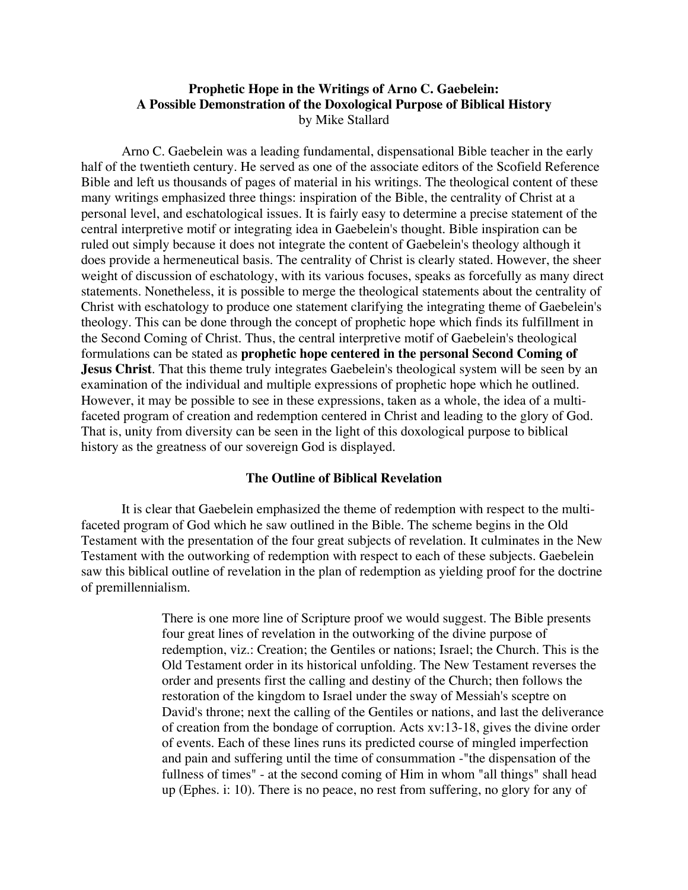# **Prophetic Hope in the Writings of Arno C. Gaebelein: A Possible Demonstration of the Doxological Purpose of Biblical History** by Mike Stallard

Arno C. Gaebelein was a leading fundamental, dispensational Bible teacher in the early half of the twentieth century. He served as one of the associate editors of the Scofield Reference Bible and left us thousands of pages of material in his writings. The theological content of these many writings emphasized three things: inspiration of the Bible, the centrality of Christ at a personal level, and eschatological issues. It is fairly easy to determine a precise statement of the central interpretive motif or integrating idea in Gaebelein's thought. Bible inspiration can be ruled out simply because it does not integrate the content of Gaebelein's theology although it does provide a hermeneutical basis. The centrality of Christ is clearly stated. However, the sheer weight of discussion of eschatology, with its various focuses, speaks as forcefully as many direct statements. Nonetheless, it is possible to merge the theological statements about the centrality of Christ with eschatology to produce one statement clarifying the integrating theme of Gaebelein's theology. This can be done through the concept of prophetic hope which finds its fulfillment in the Second Coming of Christ. Thus, the central interpretive motif of Gaebelein's theological formulations can be stated as **prophetic hope centered in the personal Second Coming of Jesus Christ**. That this theme truly integrates Gaebelein's theological system will be seen by an examination of the individual and multiple expressions of prophetic hope which he outlined. However, it may be possible to see in these expressions, taken as a whole, the idea of a multifaceted program of creation and redemption centered in Christ and leading to the glory of God. That is, unity from diversity can be seen in the light of this doxological purpose to biblical history as the greatness of our sovereign God is displayed.

#### **The Outline of Biblical Revelation**

It is clear that Gaebelein emphasized the theme of redemption with respect to the multifaceted program of God which he saw outlined in the Bible. The scheme begins in the Old Testament with the presentation of the four great subjects of revelation. It culminates in the New Testament with the outworking of redemption with respect to each of these subjects. Gaebelein saw this biblical outline of revelation in the plan of redemption as yielding proof for the doctrine of premillennialism.

> There is one more line of Scripture proof we would suggest. The Bible presents four great lines of revelation in the outworking of the divine purpose of redemption, viz.: Creation; the Gentiles or nations; Israel; the Church. This is the Old Testament order in its historical unfolding. The New Testament reverses the order and presents first the calling and destiny of the Church; then follows the restoration of the kingdom to Israel under the sway of Messiah's sceptre on David's throne; next the calling of the Gentiles or nations, and last the deliverance of creation from the bondage of corruption. Acts xv:13-18, gives the divine order of events. Each of these lines runs its predicted course of mingled imperfection and pain and suffering until the time of consummation -"the dispensation of the fullness of times" - at the second coming of Him in whom "all things" shall head up (Ephes. i: 10). There is no peace, no rest from suffering, no glory for any of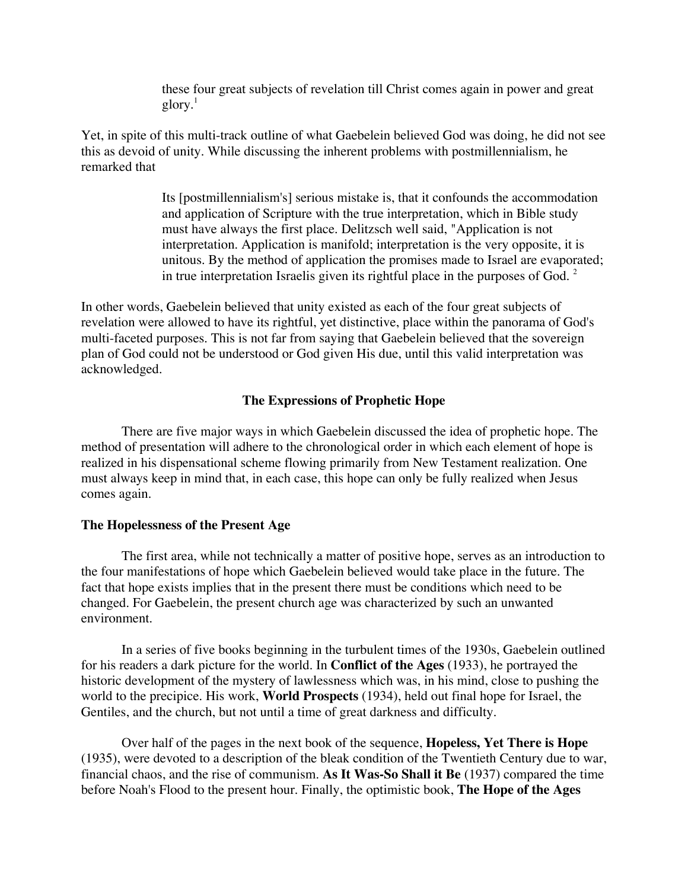these four great subjects of revelation till Christ comes again in power and great  $g\text{lor}$ <sup>1</sup>

Yet, in spite of this multi-track outline of what Gaebelein believed God was doing, he did not see this as devoid of unity. While discussing the inherent problems with postmillennialism, he remarked that

> Its [postmillennialism's] serious mistake is, that it confounds the accommodation and application of Scripture with the true interpretation, which in Bible study must have always the first place. Delitzsch well said, "Application is not interpretation. Application is manifold; interpretation is the very opposite, it is unitous. By the method of application the promises made to Israel are evaporated; in true interpretation Israelis given its rightful place in the purposes of God.  $2^{\circ}$

In other words, Gaebelein believed that unity existed as each of the four great subjects of revelation were allowed to have its rightful, yet distinctive, place within the panorama of God's multi-faceted purposes. This is not far from saying that Gaebelein believed that the sovereign plan of God could not be understood or God given His due, until this valid interpretation was acknowledged.

## **The Expressions of Prophetic Hope**

There are five major ways in which Gaebelein discussed the idea of prophetic hope. The method of presentation will adhere to the chronological order in which each element of hope is realized in his dispensational scheme flowing primarily from New Testament realization. One must always keep in mind that, in each case, this hope can only be fully realized when Jesus comes again.

## **The Hopelessness of the Present Age**

The first area, while not technically a matter of positive hope, serves as an introduction to the four manifestations of hope which Gaebelein believed would take place in the future. The fact that hope exists implies that in the present there must be conditions which need to be changed. For Gaebelein, the present church age was characterized by such an unwanted environment.

In a series of five books beginning in the turbulent times of the 1930s, Gaebelein outlined for his readers a dark picture for the world. In **Conflict of the Ages** (1933), he portrayed the historic development of the mystery of lawlessness which was, in his mind, close to pushing the world to the precipice. His work, **World Prospects** (1934), held out final hope for Israel, the Gentiles, and the church, but not until a time of great darkness and difficulty.

Over half of the pages in the next book of the sequence, **Hopeless, Yet There is Hope** (1935), were devoted to a description of the bleak condition of the Twentieth Century due to war, financial chaos, and the rise of communism. **As It Was-So Shall it Be** (1937) compared the time before Noah's Flood to the present hour. Finally, the optimistic book, **The Hope of the Ages**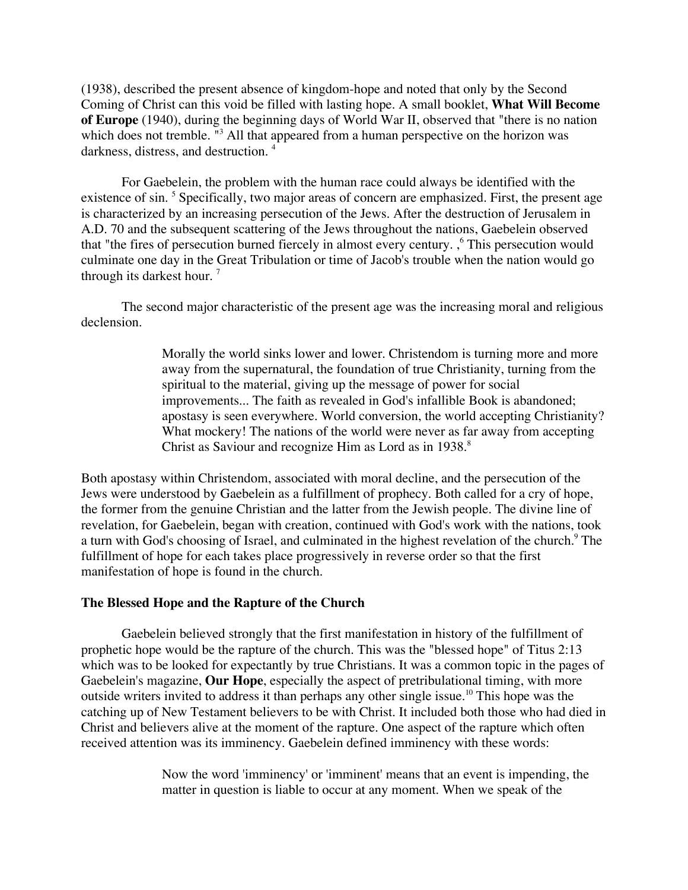(1938), described the present absence of kingdom-hope and noted that only by the Second Coming of Christ can this void be filled with lasting hope. A small booklet, **What Will Become of Europe** (1940), during the beginning days of World War II, observed that "there is no nation which does not tremble. "<sup>3</sup> All that appeared from a human perspective on the horizon was darkness, distress, and destruction. <sup>4</sup>

For Gaebelein, the problem with the human race could always be identified with the existence of sin.<sup>5</sup> Specifically, two major areas of concern are emphasized. First, the present age is characterized by an increasing persecution of the Jews. After the destruction of Jerusalem in A.D. 70 and the subsequent scattering of the Jews throughout the nations, Gaebelein observed that "the fires of persecution burned fiercely in almost every century. ,<sup>6</sup> This persecution would culminate one day in the Great Tribulation or time of Jacob's trouble when the nation would go through its darkest hour.<sup>7</sup>

The second major characteristic of the present age was the increasing moral and religious declension.

> Morally the world sinks lower and lower. Christendom is turning more and more away from the supernatural, the foundation of true Christianity, turning from the spiritual to the material, giving up the message of power for social improvements... The faith as revealed in God's infallible Book is abandoned; apostasy is seen everywhere. World conversion, the world accepting Christianity? What mockery! The nations of the world were never as far away from accepting Christ as Saviour and recognize Him as Lord as in 1938.<sup>8</sup>

Both apostasy within Christendom, associated with moral decline, and the persecution of the Jews were understood by Gaebelein as a fulfillment of prophecy. Both called for a cry of hope, the former from the genuine Christian and the latter from the Jewish people. The divine line of revelation, for Gaebelein, began with creation, continued with God's work with the nations, took a turn with God's choosing of Israel, and culminated in the highest revelation of the church.<sup>9</sup> The fulfillment of hope for each takes place progressively in reverse order so that the first manifestation of hope is found in the church.

## **The Blessed Hope and the Rapture of the Church**

Gaebelein believed strongly that the first manifestation in history of the fulfillment of prophetic hope would be the rapture of the church. This was the "blessed hope" of Titus 2:13 which was to be looked for expectantly by true Christians. It was a common topic in the pages of Gaebelein's magazine, **Our Hope**, especially the aspect of pretribulational timing, with more outside writers invited to address it than perhaps any other single issue.<sup>10</sup> This hope was the catching up of New Testament believers to be with Christ. It included both those who had died in Christ and believers alive at the moment of the rapture. One aspect of the rapture which often received attention was its imminency. Gaebelein defined imminency with these words:

> Now the word 'imminency' or 'imminent' means that an event is impending, the matter in question is liable to occur at any moment. When we speak of the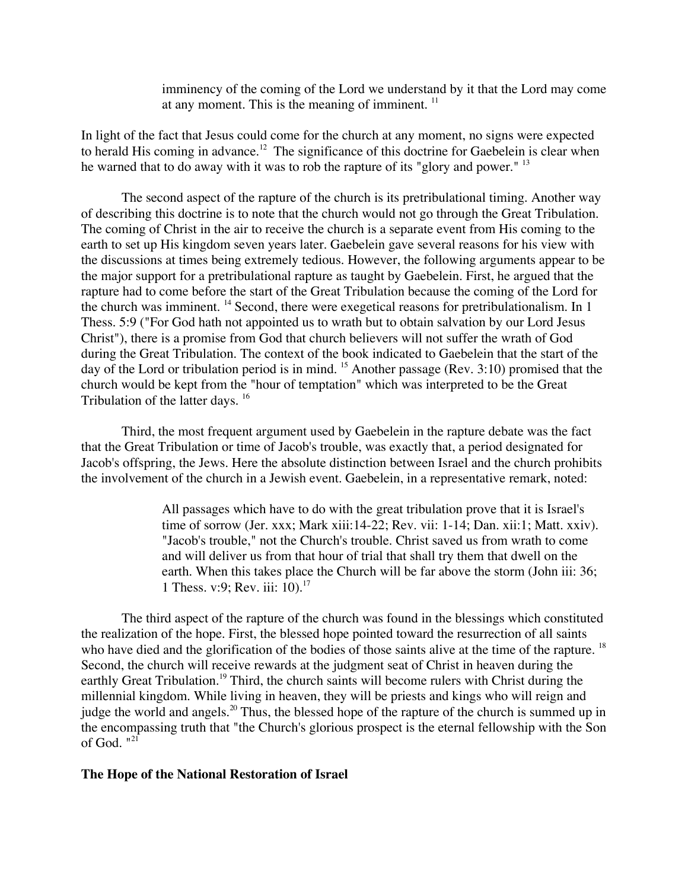imminency of the coming of the Lord we understand by it that the Lord may come at any moment. This is the meaning of imminent.  $<sup>11</sup>$ </sup>

In light of the fact that Jesus could come for the church at any moment, no signs were expected to herald His coming in advance.<sup>12</sup> The significance of this doctrine for Gaebelein is clear when he warned that to do away with it was to rob the rapture of its "glory and power." <sup>13</sup>

The second aspect of the rapture of the church is its pretribulational timing. Another way of describing this doctrine is to note that the church would not go through the Great Tribulation. The coming of Christ in the air to receive the church is a separate event from His coming to the earth to set up His kingdom seven years later. Gaebelein gave several reasons for his view with the discussions at times being extremely tedious. However, the following arguments appear to be the major support for a pretribulational rapture as taught by Gaebelein. First, he argued that the rapture had to come before the start of the Great Tribulation because the coming of the Lord for the church was imminent. <sup>14</sup> Second, there were exegetical reasons for pretribulationalism. In 1 Thess. 5:9 ("For God hath not appointed us to wrath but to obtain salvation by our Lord Jesus Christ"), there is a promise from God that church believers will not suffer the wrath of God during the Great Tribulation. The context of the book indicated to Gaebelein that the start of the day of the Lord or tribulation period is in mind. <sup>15</sup> Another passage (Rev. 3:10) promised that the church would be kept from the "hour of temptation" which was interpreted to be the Great Tribulation of the latter days. <sup>16</sup>

Third, the most frequent argument used by Gaebelein in the rapture debate was the fact that the Great Tribulation or time of Jacob's trouble, was exactly that, a period designated for Jacob's offspring, the Jews. Here the absolute distinction between Israel and the church prohibits the involvement of the church in a Jewish event. Gaebelein, in a representative remark, noted:

> All passages which have to do with the great tribulation prove that it is Israel's time of sorrow (Jer. xxx; Mark xiii:14-22; Rev. vii: 1-14; Dan. xii:1; Matt. xxiv). "Jacob's trouble," not the Church's trouble. Christ saved us from wrath to come and will deliver us from that hour of trial that shall try them that dwell on the earth. When this takes place the Church will be far above the storm (John iii: 36; 1 Thess. v:9; Rev. iii: 10).<sup>17</sup>

The third aspect of the rapture of the church was found in the blessings which constituted the realization of the hope. First, the blessed hope pointed toward the resurrection of all saints who have died and the glorification of the bodies of those saints alive at the time of the rapture. <sup>18</sup> Second, the church will receive rewards at the judgment seat of Christ in heaven during the earthly Great Tribulation.<sup>19</sup> Third, the church saints will become rulers with Christ during the millennial kingdom. While living in heaven, they will be priests and kings who will reign and judge the world and angels.<sup>20</sup> Thus, the blessed hope of the rapture of the church is summed up in the encompassing truth that "the Church's glorious prospect is the eternal fellowship with the Son of God. "<sup>21</sup>

### **The Hope of the National Restoration of Israel**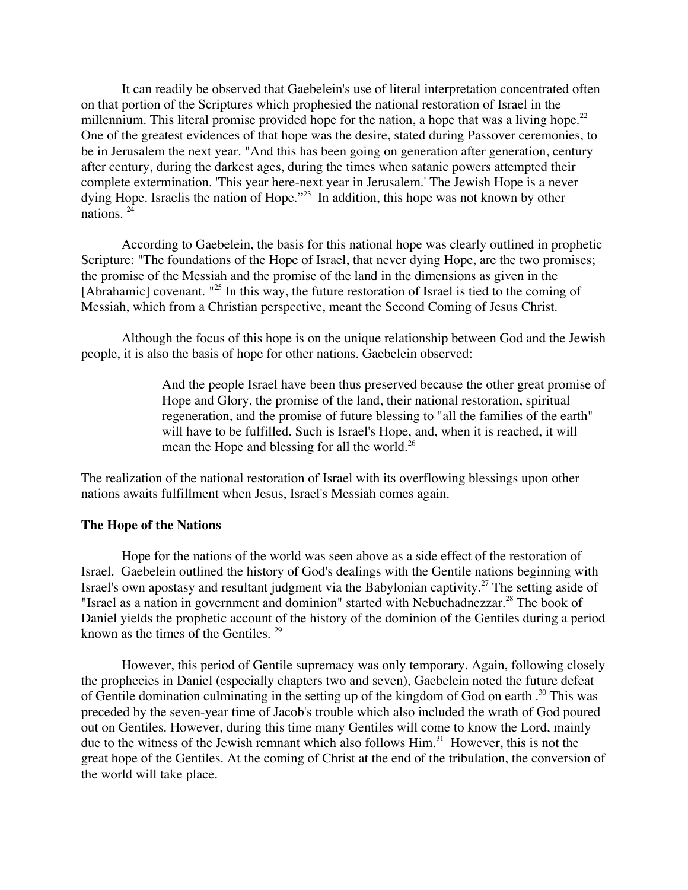It can readily be observed that Gaebelein's use of literal interpretation concentrated often on that portion of the Scriptures which prophesied the national restoration of Israel in the millennium. This literal promise provided hope for the nation, a hope that was a living hope.<sup>22</sup> One of the greatest evidences of that hope was the desire, stated during Passover ceremonies, to be in Jerusalem the next year. "And this has been going on generation after generation, century after century, during the darkest ages, during the times when satanic powers attempted their complete extermination. 'This year here-next year in Jerusalem.' The Jewish Hope is a never dying Hope. Israelis the nation of Hope."<sup>23</sup> In addition, this hope was not known by other nations. 24

According to Gaebelein, the basis for this national hope was clearly outlined in prophetic Scripture: "The foundations of the Hope of Israel, that never dying Hope, are the two promises; the promise of the Messiah and the promise of the land in the dimensions as given in the [Abrahamic] covenant. "<sup>25</sup> In this way, the future restoration of Israel is tied to the coming of Messiah, which from a Christian perspective, meant the Second Coming of Jesus Christ.

Although the focus of this hope is on the unique relationship between God and the Jewish people, it is also the basis of hope for other nations. Gaebelein observed:

> And the people Israel have been thus preserved because the other great promise of Hope and Glory, the promise of the land, their national restoration, spiritual regeneration, and the promise of future blessing to "all the families of the earth" will have to be fulfilled. Such is Israel's Hope, and, when it is reached, it will mean the Hope and blessing for all the world.<sup>26</sup>

The realization of the national restoration of Israel with its overflowing blessings upon other nations awaits fulfillment when Jesus, Israel's Messiah comes again.

### **The Hope of the Nations**

Hope for the nations of the world was seen above as a side effect of the restoration of Israel. Gaebelein outlined the history of God's dealings with the Gentile nations beginning with Israel's own apostasy and resultant judgment via the Babylonian captivity.<sup>27</sup> The setting aside of "Israel as a nation in government and dominion" started with Nebuchadnezzar.<sup>28</sup> The book of Daniel yields the prophetic account of the history of the dominion of the Gentiles during a period known as the times of the Gentiles.  $29$ 

However, this period of Gentile supremacy was only temporary. Again, following closely the prophecies in Daniel (especially chapters two and seven), Gaebelein noted the future defeat of Gentile domination culminating in the setting up of the kingdom of God on earth .<sup>30</sup> This was preceded by the seven-year time of Jacob's trouble which also included the wrath of God poured out on Gentiles. However, during this time many Gentiles will come to know the Lord, mainly due to the witness of the Jewish remnant which also follows Him.<sup>31</sup> However, this is not the great hope of the Gentiles. At the coming of Christ at the end of the tribulation, the conversion of the world will take place.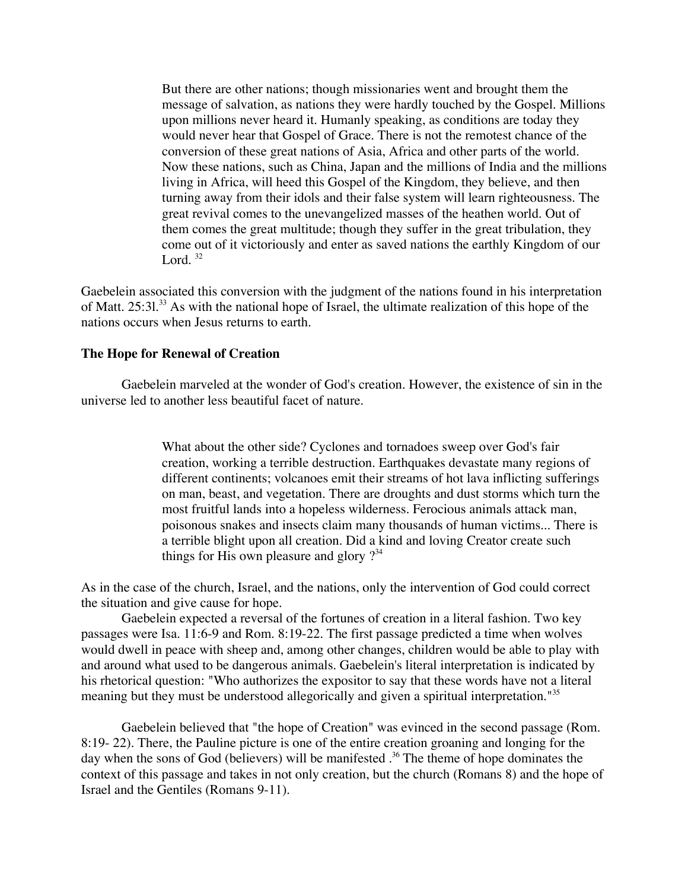But there are other nations; though missionaries went and brought them the message of salvation, as nations they were hardly touched by the Gospel. Millions upon millions never heard it. Humanly speaking, as conditions are today they would never hear that Gospel of Grace. There is not the remotest chance of the conversion of these great nations of Asia, Africa and other parts of the world. Now these nations, such as China, Japan and the millions of India and the millions living in Africa, will heed this Gospel of the Kingdom, they believe, and then turning away from their idols and their false system will learn righteousness. The great revival comes to the unevangelized masses of the heathen world. Out of them comes the great multitude; though they suffer in the great tribulation, they come out of it victoriously and enter as saved nations the earthly Kingdom of our Lord.  $32$ 

Gaebelein associated this conversion with the judgment of the nations found in his interpretation of Matt. 25:31.<sup>33</sup> As with the national hope of Israel, the ultimate realization of this hope of the nations occurs when Jesus returns to earth.

### **The Hope for Renewal of Creation**

Gaebelein marveled at the wonder of God's creation. However, the existence of sin in the universe led to another less beautiful facet of nature.

> What about the other side? Cyclones and tornadoes sweep over God's fair creation, working a terrible destruction. Earthquakes devastate many regions of different continents; volcanoes emit their streams of hot lava inflicting sufferings on man, beast, and vegetation. There are droughts and dust storms which turn the most fruitful lands into a hopeless wilderness. Ferocious animals attack man, poisonous snakes and insects claim many thousands of human victims... There is a terrible blight upon all creation. Did a kind and loving Creator create such things for His own pleasure and glory  $?$ <sup>34</sup>

As in the case of the church, Israel, and the nations, only the intervention of God could correct the situation and give cause for hope.

Gaebelein expected a reversal of the fortunes of creation in a literal fashion. Two key passages were Isa. 11:6-9 and Rom. 8:19-22. The first passage predicted a time when wolves would dwell in peace with sheep and, among other changes, children would be able to play with and around what used to be dangerous animals. Gaebelein's literal interpretation is indicated by his rhetorical question: "Who authorizes the expositor to say that these words have not a literal meaning but they must be understood allegorically and given a spiritual interpretation."<sup>35</sup>

Gaebelein believed that "the hope of Creation" was evinced in the second passage (Rom. 8:19- 22). There, the Pauline picture is one of the entire creation groaning and longing for the day when the sons of God (believers) will be manifested .<sup>36</sup> The theme of hope dominates the context of this passage and takes in not only creation, but the church (Romans 8) and the hope of Israel and the Gentiles (Romans 9-11).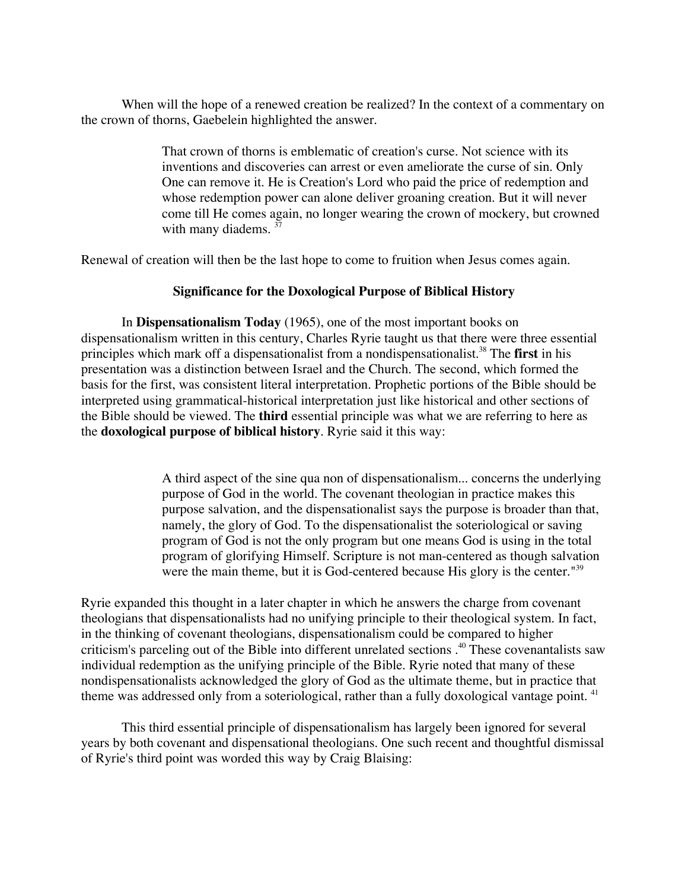When will the hope of a renewed creation be realized? In the context of a commentary on the crown of thorns, Gaebelein highlighted the answer.

> That crown of thorns is emblematic of creation's curse. Not science with its inventions and discoveries can arrest or even ameliorate the curse of sin. Only One can remove it. He is Creation's Lord who paid the price of redemption and whose redemption power can alone deliver groaning creation. But it will never come till He comes again, no longer wearing the crown of mockery, but crowned with many diadems. <sup>37</sup>

Renewal of creation will then be the last hope to come to fruition when Jesus comes again.

## **Significance for the Doxological Purpose of Biblical History**

In **Dispensationalism Today** (1965), one of the most important books on dispensationalism written in this century, Charles Ryrie taught us that there were three essential principles which mark off a dispensationalist from a nondispensationalist.<sup>38</sup> The **first** in his presentation was a distinction between Israel and the Church. The second, which formed the basis for the first, was consistent literal interpretation. Prophetic portions of the Bible should be interpreted using grammatical-historical interpretation just like historical and other sections of the Bible should be viewed. The **third** essential principle was what we are referring to here as the **doxological purpose of biblical history**. Ryrie said it this way:

> A third aspect of the sine qua non of dispensationalism... concerns the underlying purpose of God in the world. The covenant theologian in practice makes this purpose salvation, and the dispensationalist says the purpose is broader than that, namely, the glory of God. To the dispensationalist the soteriological or saving program of God is not the only program but one means God is using in the total program of glorifying Himself. Scripture is not man-centered as though salvation were the main theme, but it is God-centered because His glory is the center.<sup>"39</sup>

Ryrie expanded this thought in a later chapter in which he answers the charge from covenant theologians that dispensationalists had no unifying principle to their theological system. In fact, in the thinking of covenant theologians, dispensationalism could be compared to higher criticism's parceling out of the Bible into different unrelated sections.<sup>40</sup> These covenantalists saw individual redemption as the unifying principle of the Bible. Ryrie noted that many of these nondispensationalists acknowledged the glory of God as the ultimate theme, but in practice that theme was addressed only from a soteriological, rather than a fully doxological vantage point. <sup>41</sup>

This third essential principle of dispensationalism has largely been ignored for several years by both covenant and dispensational theologians. One such recent and thoughtful dismissal of Ryrie's third point was worded this way by Craig Blaising: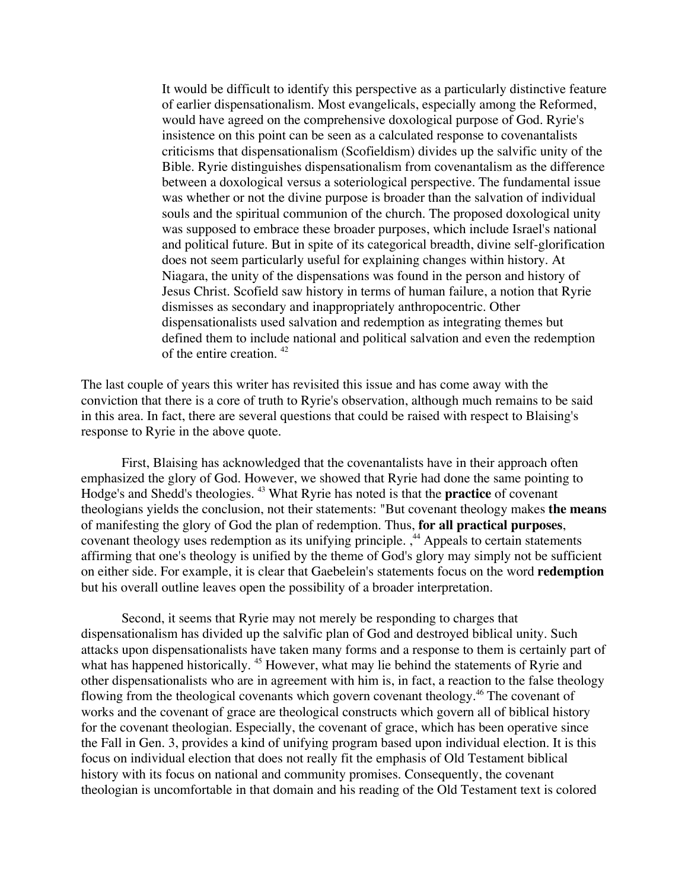It would be difficult to identify this perspective as a particularly distinctive feature of earlier dispensationalism. Most evangelicals, especially among the Reformed, would have agreed on the comprehensive doxological purpose of God. Ryrie's insistence on this point can be seen as a calculated response to covenantalists criticisms that dispensationalism (Scofieldism) divides up the salvific unity of the Bible. Ryrie distinguishes dispensationalism from covenantalism as the difference between a doxological versus a soteriological perspective. The fundamental issue was whether or not the divine purpose is broader than the salvation of individual souls and the spiritual communion of the church. The proposed doxological unity was supposed to embrace these broader purposes, which include Israel's national and political future. But in spite of its categorical breadth, divine self-glorification does not seem particularly useful for explaining changes within history. At Niagara, the unity of the dispensations was found in the person and history of Jesus Christ. Scofield saw history in terms of human failure, a notion that Ryrie dismisses as secondary and inappropriately anthropocentric. Other dispensationalists used salvation and redemption as integrating themes but defined them to include national and political salvation and even the redemption of the entire creation. 42

The last couple of years this writer has revisited this issue and has come away with the conviction that there is a core of truth to Ryrie's observation, although much remains to be said in this area. In fact, there are several questions that could be raised with respect to Blaising's response to Ryrie in the above quote.

First, Blaising has acknowledged that the covenantalists have in their approach often emphasized the glory of God. However, we showed that Ryrie had done the same pointing to Hodge's and Shedd's theologies. 43 What Ryrie has noted is that the **practice** of covenant theologians yields the conclusion, not their statements: "But covenant theology makes **the means** of manifesting the glory of God the plan of redemption. Thus, **for all practical purposes**, covenant theology uses redemption as its unifying principle. ,<sup>44</sup> Appeals to certain statements affirming that one's theology is unified by the theme of God's glory may simply not be sufficient on either side. For example, it is clear that Gaebelein's statements focus on the word **redemption** but his overall outline leaves open the possibility of a broader interpretation.

Second, it seems that Ryrie may not merely be responding to charges that dispensationalism has divided up the salvific plan of God and destroyed biblical unity. Such attacks upon dispensationalists have taken many forms and a response to them is certainly part of what has happened historically. <sup>45</sup> However, what may lie behind the statements of Ryrie and other dispensationalists who are in agreement with him is, in fact, a reaction to the false theology flowing from the theological covenants which govern covenant theology.<sup>46</sup> The covenant of works and the covenant of grace are theological constructs which govern all of biblical history for the covenant theologian. Especially, the covenant of grace, which has been operative since the Fall in Gen. 3, provides a kind of unifying program based upon individual election. It is this focus on individual election that does not really fit the emphasis of Old Testament biblical history with its focus on national and community promises. Consequently, the covenant theologian is uncomfortable in that domain and his reading of the Old Testament text is colored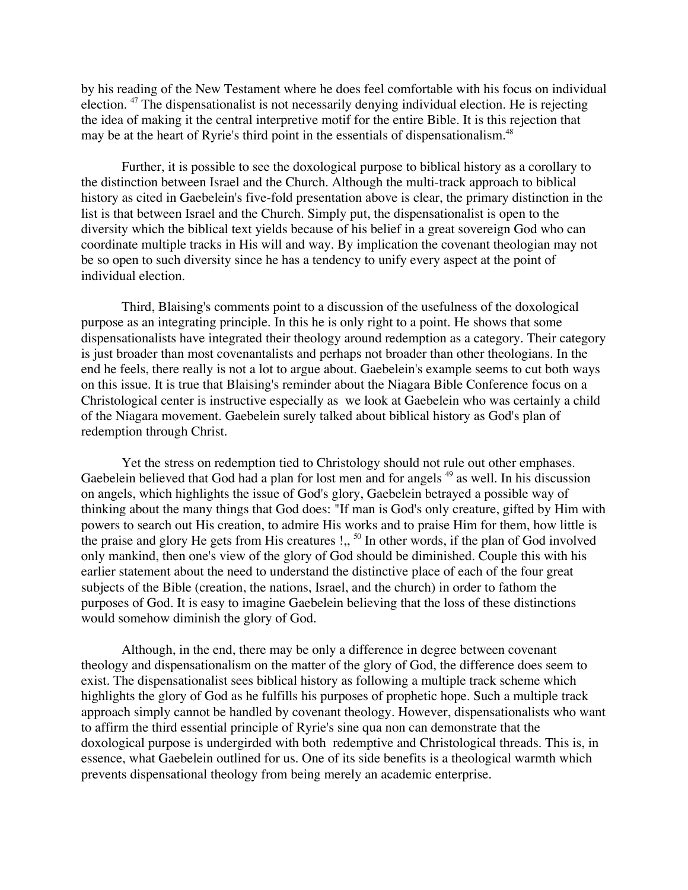by his reading of the New Testament where he does feel comfortable with his focus on individual election. <sup>47</sup> The dispensationalist is not necessarily denying individual election. He is rejecting the idea of making it the central interpretive motif for the entire Bible. It is this rejection that may be at the heart of Ryrie's third point in the essentials of dispensationalism.<sup>48</sup>

Further, it is possible to see the doxological purpose to biblical history as a corollary to the distinction between Israel and the Church. Although the multi-track approach to biblical history as cited in Gaebelein's five-fold presentation above is clear, the primary distinction in the list is that between Israel and the Church. Simply put, the dispensationalist is open to the diversity which the biblical text yields because of his belief in a great sovereign God who can coordinate multiple tracks in His will and way. By implication the covenant theologian may not be so open to such diversity since he has a tendency to unify every aspect at the point of individual election.

Third, Blaising's comments point to a discussion of the usefulness of the doxological purpose as an integrating principle. In this he is only right to a point. He shows that some dispensationalists have integrated their theology around redemption as a category. Their category is just broader than most covenantalists and perhaps not broader than other theologians. In the end he feels, there really is not a lot to argue about. Gaebelein's example seems to cut both ways on this issue. It is true that Blaising's reminder about the Niagara Bible Conference focus on a Christological center is instructive especially as we look at Gaebelein who was certainly a child of the Niagara movement. Gaebelein surely talked about biblical history as God's plan of redemption through Christ.

Yet the stress on redemption tied to Christology should not rule out other emphases. Gaebelein believed that God had a plan for lost men and for angels <sup>49</sup> as well. In his discussion on angels, which highlights the issue of God's glory, Gaebelein betrayed a possible way of thinking about the many things that God does: "If man is God's only creature, gifted by Him with powers to search out His creation, to admire His works and to praise Him for them, how little is the praise and glory He gets from His creatures  $!,$   $\text{ }^{50}$  In other words, if the plan of God involved only mankind, then one's view of the glory of God should be diminished. Couple this with his earlier statement about the need to understand the distinctive place of each of the four great subjects of the Bible (creation, the nations, Israel, and the church) in order to fathom the purposes of God. It is easy to imagine Gaebelein believing that the loss of these distinctions would somehow diminish the glory of God.

Although, in the end, there may be only a difference in degree between covenant theology and dispensationalism on the matter of the glory of God, the difference does seem to exist. The dispensationalist sees biblical history as following a multiple track scheme which highlights the glory of God as he fulfills his purposes of prophetic hope. Such a multiple track approach simply cannot be handled by covenant theology. However, dispensationalists who want to affirm the third essential principle of Ryrie's sine qua non can demonstrate that the doxological purpose is undergirded with both redemptive and Christological threads. This is, in essence, what Gaebelein outlined for us. One of its side benefits is a theological warmth which prevents dispensational theology from being merely an academic enterprise.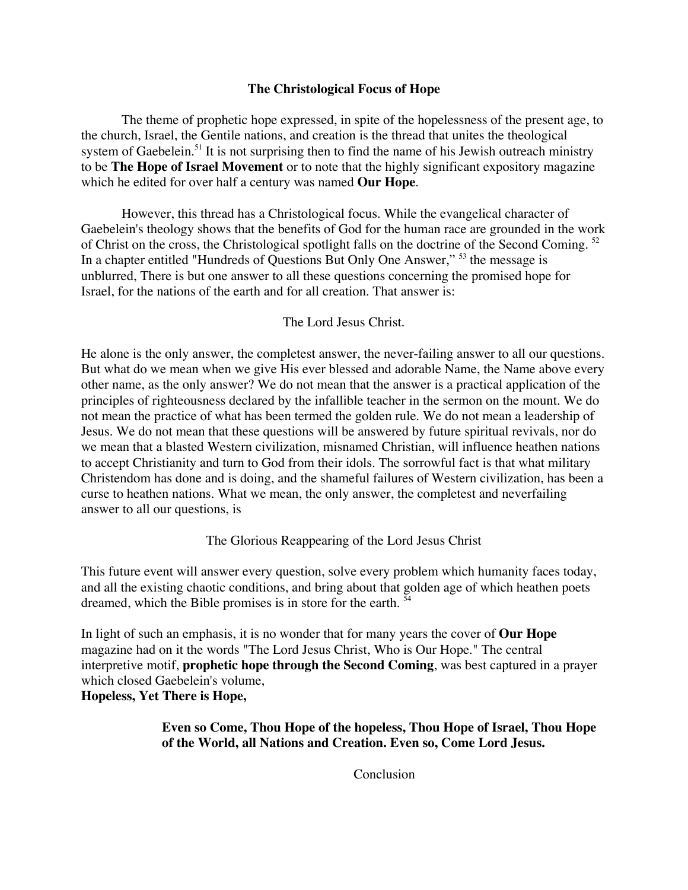## **The Christological Focus of Hope**

The theme of prophetic hope expressed, in spite of the hopelessness of the present age, to the church, Israel, the Gentile nations, and creation is the thread that unites the theological system of Gaebelein.<sup>51</sup> It is not surprising then to find the name of his Jewish outreach ministry to be **The Hope of Israel Movement** or to note that the highly significant expository magazine which he edited for over half a century was named **Our Hope**.

However, this thread has a Christological focus. While the evangelical character of Gaebelein's theology shows that the benefits of God for the human race are grounded in the work of Christ on the cross, the Christological spotlight falls on the doctrine of the Second Coming.<sup>52</sup> In a chapter entitled "Hundreds of Questions But Only One Answer," <sup>53</sup> the message is unblurred, There is but one answer to all these questions concerning the promised hope for Israel, for the nations of the earth and for all creation. That answer is:

## The Lord Jesus Christ.

He alone is the only answer, the completest answer, the never-failing answer to all our questions. But what do we mean when we give His ever blessed and adorable Name, the Name above every other name, as the only answer? We do not mean that the answer is a practical application of the principles of righteousness declared by the infallible teacher in the sermon on the mount. We do not mean the practice of what has been termed the golden rule. We do not mean a leadership of Jesus. We do not mean that these questions will be answered by future spiritual revivals, nor do we mean that a blasted Western civilization, misnamed Christian, will influence heathen nations to accept Christianity and turn to God from their idols. The sorrowful fact is that what military Christendom has done and is doing, and the shameful failures of Western civilization, has been a curse to heathen nations. What we mean, the only answer, the completest and neverfailing answer to all our questions, is

## The Glorious Reappearing of the Lord Jesus Christ

This future event will answer every question, solve every problem which humanity faces today, and all the existing chaotic conditions, and bring about that golden age of which heathen poets dreamed, which the Bible promises is in store for the earth.<sup>54</sup>

In light of such an emphasis, it is no wonder that for many years the cover of **Our Hope** magazine had on it the words "The Lord Jesus Christ, Who is Our Hope." The central interpretive motif, **prophetic hope through the Second Coming**, was best captured in a prayer which closed Gaebelein's volume,

## **Hopeless, Yet There is Hope,**

**Even so Come, Thou Hope of the hopeless, Thou Hope of Israel, Thou Hope of the World, all Nations and Creation. Even so, Come Lord Jesus.**

Conclusion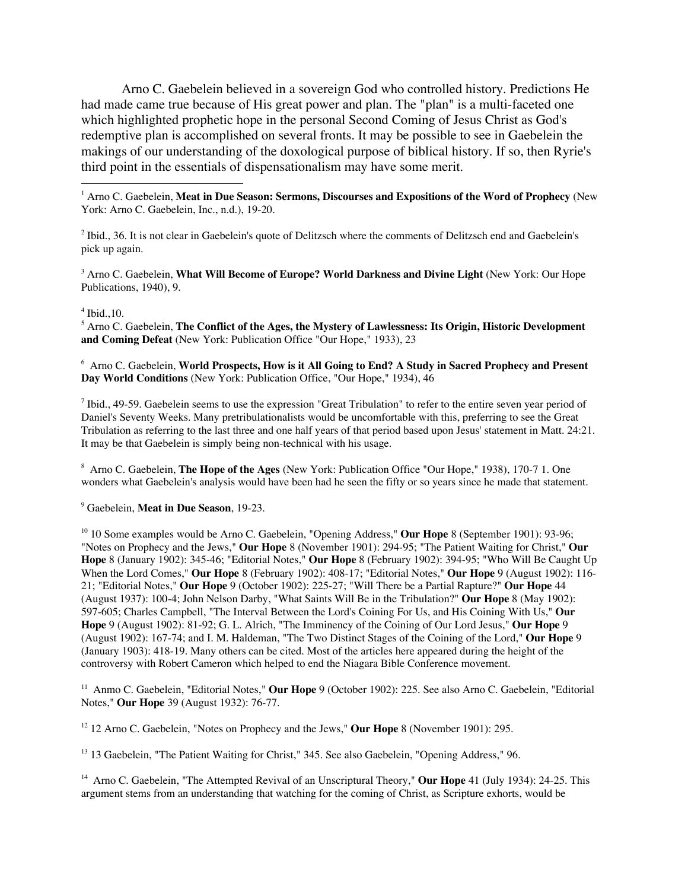Arno C. Gaebelein believed in a sovereign God who controlled history. Predictions He had made came true because of His great power and plan. The "plan" is a multi-faceted one which highlighted prophetic hope in the personal Second Coming of Jesus Christ as God's redemptive plan is accomplished on several fronts. It may be possible to see in Gaebelein the makings of our understanding of the doxological purpose of biblical history. If so, then Ryrie's third point in the essentials of dispensationalism may have some merit.

 $\frac{1}{1}$ <sup>1</sup> Arno C. Gaebelein, Meat in Due Season: Sermons, Discourses and Expositions of the Word of Prophecy (New York: Arno C. Gaebelein, Inc., n.d.), 19-20.

 $2$  Ibid., 36. It is not clear in Gaebelein's quote of Delitzsch where the comments of Delitzsch end and Gaebelein's pick up again.

3 Arno C. Gaebelein, **What Will Become of Europe? World Darkness and Divine Light** (New York: Our Hope Publications, 1940), 9.

#### 4 Ibid.,10.

5 Arno C. Gaebelein, **The Conflict of the Ages, the Mystery of Lawlessness: Its Origin, Historic Development and Coming Defeat** (New York: Publication Office "Our Hope," 1933), 23

6 Arno C. Gaebelein, **World Prospects, How is it All Going to End? A Study in Sacred Prophecy and Present Day World Conditions** (New York: Publication Office, "Our Hope," 1934), 46

 $^7$  Ibid., 49-59. Gaebelein seems to use the expression "Great Tribulation" to refer to the entire seven year period of Daniel's Seventy Weeks. Many pretribulationalists would be uncomfortable with this, preferring to see the Great Tribulation as referring to the last three and one half years of that period based upon Jesus' statement in Matt. 24:21. It may be that Gaebelein is simply being non-technical with his usage.

8 Arno C. Gaebelein, **The Hope of the Ages** (New York: Publication Office "Our Hope," 1938), 170-7 1. One wonders what Gaebelein's analysis would have been had he seen the fifty or so years since he made that statement.

#### 9 Gaebelein, **Meat in Due Season**, 19-23.

<sup>10</sup> 10 Some examples would be Arno C. Gaebelein, "Opening Address," Our Hope 8 (September 1901): 93-96; "Notes on Prophecy and the Jews," **Our Hope** 8 (November 1901): 294-95; "The Patient Waiting for Christ," **Our Hope** 8 (January 1902): 345-46; "Editorial Notes," **Our Hope** 8 (February 1902): 394-95; "Who Will Be Caught Up When the Lord Comes," **Our Hope** 8 (February 1902): 408-17; "Editorial Notes," **Our Hope** 9 (August 1902): 116- 21; "Editorial Notes," **Our Hope** 9 (October 1902): 225-27; "Will There be a Partial Rapture?" **Our Hope** 44 (August 1937): 100-4; John Nelson Darby, "What Saints Will Be in the Tribulation?" **Our Hope** 8 (May 1902): 597-605; Charles Campbell, "The Interval Between the Lord's Coining For Us, and His Coining With Us," **Our Hope** 9 (August 1902): 81-92; G. L. Alrich, "The Imminency of the Coining of Our Lord Jesus," **Our Hope** 9 (August 1902): 167-74; and I. M. Haldeman, "The Two Distinct Stages of the Coining of the Lord," **Our Hope** 9 (January 1903): 418-19. Many others can be cited. Most of the articles here appeared during the height of the controversy with Robert Cameron which helped to end the Niagara Bible Conference movement.

<sup>11</sup> Anmo C. Gaebelein, "Editorial Notes," Our Hope 9 (October 1902): 225. See also Arno C. Gaebelein, "Editorial Notes," **Our Hope** 39 (August 1932): 76-77.

<sup>12</sup> 12 Arno C. Gaebelein, "Notes on Prophecy and the Jews," Our Hope 8 (November 1901): 295.

<sup>13</sup> 13 Gaebelein, "The Patient Waiting for Christ," 345. See also Gaebelein, "Opening Address," 96.

<sup>14</sup> Arno C. Gaebelein, "The Attempted Revival of an Unscriptural Theory," Our Hope 41 (July 1934): 24-25. This argument stems from an understanding that watching for the coming of Christ, as Scripture exhorts, would be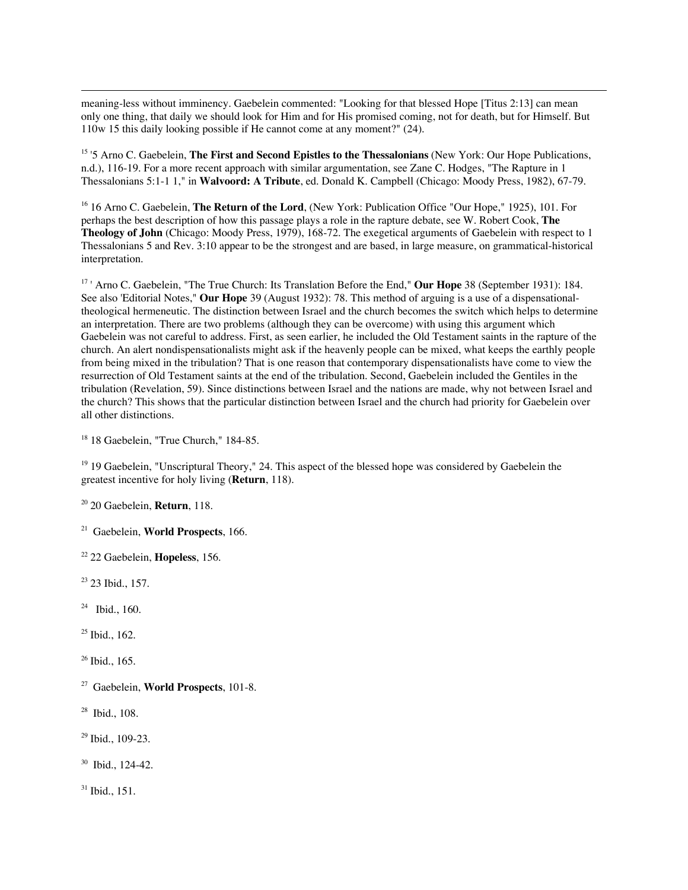meaning-less without imminency. Gaebelein commented: "Looking for that blessed Hope [Titus 2:13] can mean only one thing, that daily we should look for Him and for His promised coming, not for death, but for Himself. But 110w 15 this daily looking possible if He cannot come at any moment?" (24).

<sup>15</sup> '5 Arno C. Gaebelein, The First and Second Epistles to the Thessalonians (New York: Our Hope Publications, n.d.), 116-19. For a more recent approach with similar argumentation, see Zane C. Hodges, "The Rapture in 1 Thessalonians 5:1-1 1," in **Walvoord: A Tribute**, ed. Donald K. Campbell (Chicago: Moody Press, 1982), 67-79.

<sup>16</sup> 16 Arno C. Gaebelein, **The Return of the Lord**, (New York: Publication Office "Our Hope," 1925), 101. For perhaps the best description of how this passage plays a role in the rapture debate, see W. Robert Cook, **The Theology of John** (Chicago: Moody Press, 1979), 168-72. The exegetical arguments of Gaebelein with respect to 1 Thessalonians 5 and Rev. 3:10 appear to be the strongest and are based, in large measure, on grammatical-historical interpretation.

<sup>17</sup> ' Arno C. Gaebelein, "The True Church: Its Translation Before the End," Our Hope 38 (September 1931): 184. See also 'Editorial Notes," **Our Hope** 39 (August 1932): 78. This method of arguing is a use of a dispensationaltheological hermeneutic. The distinction between Israel and the church becomes the switch which helps to determine an interpretation. There are two problems (although they can be overcome) with using this argument which Gaebelein was not careful to address. First, as seen earlier, he included the Old Testament saints in the rapture of the church. An alert nondispensationalists might ask if the heavenly people can be mixed, what keeps the earthly people from being mixed in the tribulation? That is one reason that contemporary dispensationalists have come to view the resurrection of Old Testament saints at the end of the tribulation. Second, Gaebelein included the Gentiles in the tribulation (Revelation, 59). Since distinctions between Israel and the nations are made, why not between Israel and the church? This shows that the particular distinction between Israel and the church had priority for Gaebelein over all other distinctions.

<sup>18</sup> 18 Gaebelein, "True Church," 184-85.

<sup>19</sup> 19 Gaebelein, "Unscriptural Theory," 24. This aspect of the blessed hope was considered by Gaebelein the greatest incentive for holy living (**Return**, 118).

20 20 Gaebelein, **Return**, 118.

21 Gaebelein, **World Prospects**, 166.

22 22 Gaebelein, **Hopeless**, 156.

<sup>23</sup> 23 Ibid., 157.

 $24$  Ibid., 160.

25 Ibid., 162.

26 Ibid., 165.

27 Gaebelein, **World Prospects**, 101-8.

28 Ibid., 108.

29 Ibid., 109-23.

30 Ibid., 124-42.

31 Ibid., 151.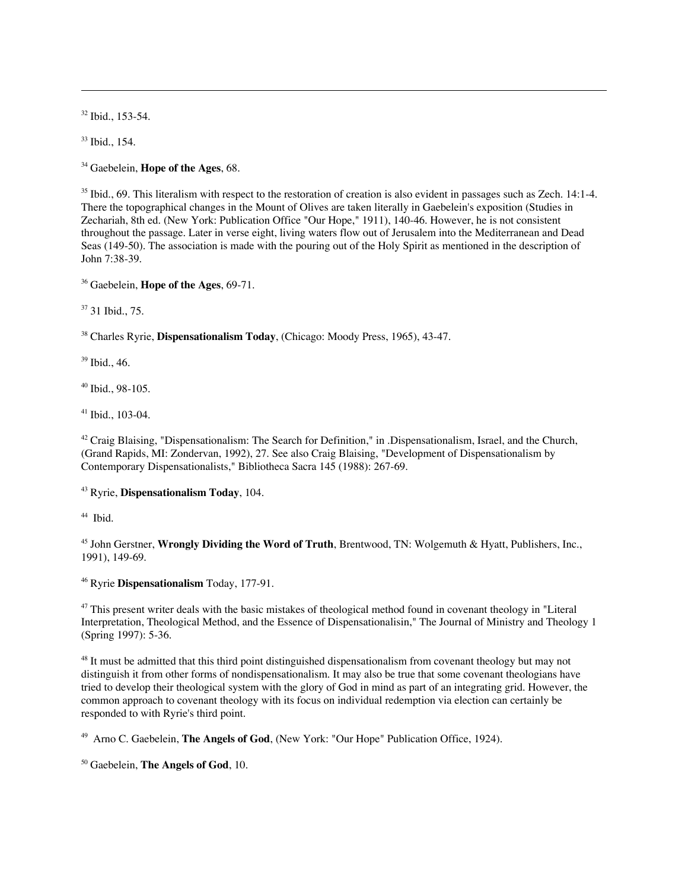32 Ibid., 153-54.

33 Ibid., 154.

-

34 Gaebelein, **Hope of the Ages**, 68.

 $35$  Ibid., 69. This literalism with respect to the restoration of creation is also evident in passages such as Zech. 14:1-4. There the topographical changes in the Mount of Olives are taken literally in Gaebelein's exposition (Studies in Zechariah, 8th ed. (New York: Publication Office "Our Hope," 1911), 140-46. However, he is not consistent throughout the passage. Later in verse eight, living waters flow out of Jerusalem into the Mediterranean and Dead Seas (149-50). The association is made with the pouring out of the Holy Spirit as mentioned in the description of John 7:38-39.

36 Gaebelein, **Hope of the Ages**, 69-71.

37 31 Ibid., 75.

38 Charles Ryrie, **Dispensationalism Today**, (Chicago: Moody Press, 1965), 43-47.

39 Ibid., 46.

40 Ibid., 98-105.

41 Ibid., 103-04.

<sup>42</sup> Craig Blaising, "Dispensationalism: The Search for Definition," in .Dispensationalism, Israel, and the Church, (Grand Rapids, MI: Zondervan, 1992), 27. See also Craig Blaising, "Development of Dispensationalism by Contemporary Dispensationalists," Bibliotheca Sacra 145 (1988): 267-69.

43 Ryrie, **Dispensationalism Today**, 104.

<sup>44</sup> Ibid.

45 John Gerstner, **Wrongly Dividing the Word of Truth**, Brentwood, TN: Wolgemuth & Hyatt, Publishers, Inc., 1991), 149-69.

46 Ryrie **Dispensationalism** Today, 177-91.

<sup>47</sup> This present writer deals with the basic mistakes of theological method found in covenant theology in "Literal Interpretation, Theological Method, and the Essence of Dispensationalisin," The Journal of Ministry and Theology 1 (Spring 1997): 5-36.

<sup>48</sup> It must be admitted that this third point distinguished dispensationalism from covenant theology but may not distinguish it from other forms of nondispensationalism. It may also be true that some covenant theologians have tried to develop their theological system with the glory of God in mind as part of an integrating grid. However, the common approach to covenant theology with its focus on individual redemption via election can certainly be responded to with Ryrie's third point.

49 Arno C. Gaebelein, **The Angels of God**, (New York: "Our Hope" Publication Office, 1924).

50 Gaebelein, **The Angels of God**, 10.